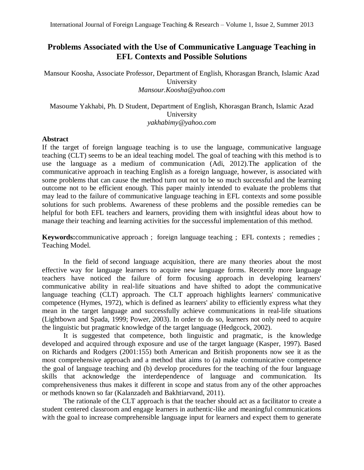# **Problems Associated with the Use of Communicative Language Teaching in EFL Contexts and Possible Solutions**

Mansour Koosha, Associate Professor, Department of English, Khorasgan Branch, Islamic Azad University *[Mansour.Koosha@yahoo.com](mailto:Mansour.Koosha@yahoo.com)*

Masoume Yakhabi, Ph. D Student, Department of English, Khorasgan Branch, Islamic Azad University *yakhabimy@yahoo.com*

### **Abstract**

If the target of foreign language teaching is to use the language, communicative language teaching (CLT) seems to be an ideal teaching model. The goal of teaching with this method is to use the language as a medium of communication (Adi, 2012).The application of the communicative approach in teaching English as a foreign language, however, is associated with some problems that can cause the method turn out not to be so much successful and the learning outcome not to be efficient enough. This paper mainly intended to evaluate the problems that may lead to the failure of communicative language teaching in EFL contexts and some possible solutions for such problems. Awareness of these problems and the possible remedies can be helpful for both EFL teachers and learners, providing them with insightful ideas about how to manage their teaching and learning activities for the successful implementation of this method.

**Keywords:**[communicative approach](http://jfl.iaun.ac.ir/?_action=article&kw=18486&_kw=communicative+approach) ; [foreign language teaching](http://jfl.iaun.ac.ir/?_action=article&kw=18487&_kw=foreign+language+teaching) ; [EFL contexts](http://jfl.iaun.ac.ir/?_action=article&kw=18488&_kw=EFL+contexts) ; [remedies](http://jfl.iaun.ac.ir/?_action=article&kw=18489&_kw=remedies) ; [Teaching Model.](http://jfl.iaun.ac.ir/?_action=article&kw=18490&_kw=Teaching+Model)

In the field of [second language acquisition,](http://en.wikipedia.org/wiki/Second_Language_Acquisition) there are many theories about the most effective way for language learners to acquire new language forms. Recently more language teachers have noticed the failure of form focusing approach in developing learners' communicative ability in real-life situations and have shifted to adopt the communicative language teaching (CLT) approach. The CLT approach highlights learners' communicative competence (Hymes, 1972), which is defined as learners' ability to efficiently express what they mean in the target language and successfully achieve communications in real-life situations (Lightbown and Spada, 1999; Power, 2003). In order to do so, learners not only need to acquire the linguistic but pragmatic knowledge of the target language (Hedgcock, 2002).

It is suggested that competence, both linguistic and pragmatic, is the knowledge developed and acquired through exposure and use of the target language (Kasper, 1997). Based on Richards and Rodgers (2001:155) both American and British proponents now see it as the most comprehensive approach and a method that aims to (a) make communicative competence the goal of language teaching and (b) develop procedures for the teaching of the four language skills that acknowledge the interdependence of language and communication. Its comprehensiveness thus makes it different in scope and status from any of the other approaches or methods known so far (Kalanzadeh and Bakhtiarvand, 2011).

The rationale of the CLT approach is that the teacher should act as a facilitator to create a student centered classroom and engage learners in authentic-like and meaningful communications with the goal to increase comprehensible language input for learners and expect them to generate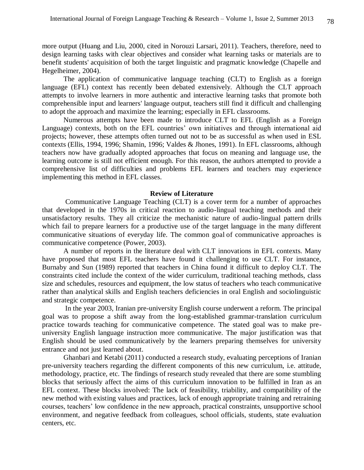more output (Huang and Liu, 2000, cited in Norouzi Larsari, 2011). Teachers, therefore, need to design learning tasks with clear objectives and consider what learning tasks or materials are to benefit students' acquisition of both the target linguistic and pragmatic knowledge (Chapelle and Hegelheimer, 2004).

The application of communicative language teaching (CLT) to English as a foreign language (EFL) context has recently been debated extensively. Although the CLT approach attempts to involve learners in more authentic and interactive learning tasks that promote both comprehensible input and learners' language output, teachers still find it difficult and challenging to adopt the approach and maximize the learning; especially in EFL classrooms.

Numerous attempts have been made to introduce CLT to EFL (English as a Foreign Language) contexts, both on the EFL countries' own initiatives and through international aid projects; however, these attempts often turned out not to be as successful as when used in ESL contexts (Ellis, 1994, 1996; Shamin, 1996; Valdes & Jhones, 1991). In EFL classrooms, although teachers now have gradually adopted approaches that focus on meaning and language use, the learning outcome is still not efficient enough. For this reason, the authors attempted to provide a comprehensive list of difficulties and problems EFL learners and teachers may experience implementing this method in EFL classes.

#### **Review of Literature**

Communicative Language Teaching (CLT) is a cover term for a number of approaches that developed in the 1970s in critical reaction to audio-lingual teaching methods and their unsatisfactory results. They all criticize the mechanistic nature of audio-lingual pattern drills which fail to prepare learners for a productive use of the target language in the many different communicative situations of everyday life. The common goal of communicative approaches is communicative competence (Power, 2003).

A number of reports in the literature deal with CLT innovations in EFL contexts. Many have proposed that most EFL teachers have found it challenging to use CLT. For instance, Burnaby and Sun (1989) reported that teachers in China found it difficult to deploy CLT. The constraints cited include the context of the wider curriculum, traditional teaching methods, class size and schedules, resources and equipment, the low status of teachers who teach communicative rather than analytical skills and English teachers deficiencies in oral English and sociolinguistic and strategic competence.

In the year 2003, Iranian pre-university English course underwent a reform. The principal goal was to propose a shift away from the long-established grammar-translation curriculum practice towards teaching for communicative competence. The stated goal was to make preuniversity English language instruction more communicative. The major justification was that English should be used communicatively by the learners preparing themselves for university entrance and not just learned about.

Ghanbari and Ketabi (2011) conducted a research study, evaluating perceptions of Iranian pre-university teachers regarding the different components of this new curriculum, i.e. attitude, methodology, practice, etc. The findings of research study revealed that there are some stumbling blocks that seriously affect the aims of this curriculum innovation to be fulfilled in Iran as an EFL context. These blocks involved: The lack of feasibility, triability, and compatibility of the new method with existing values and practices, lack of enough appropriate training and retraining courses, teachers' low confidence in the new approach, practical constraints, unsupportive school environment, and negative feedback from colleagues, school officials, students, state evaluation centers, etc.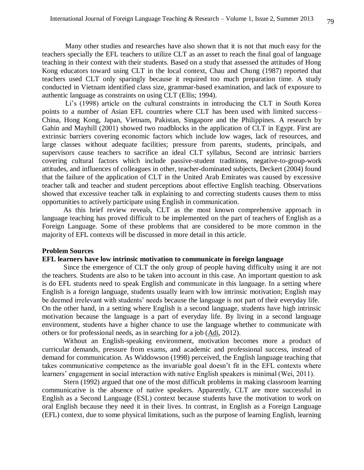Many other studies and researches have also shown that it is not that much easy for the teachers specially the EFL teachers to utilize CLT as an asset to reach the final goal of language teaching in their context with their students. Based on a study that assessed the attitudes of Hong Kong educators toward using CLT in the local context, Chau and Chung (1987) reported that teachers used CLT only sparingly because it required too much preparation time. A study conducted in Vietnam identified class size, grammar-based examination, and lack of exposure to authentic language as constraints on using CLT (Ellis; 1994).

Li's (1998) article on the cultural constraints in introducing the CLT in South Korea points to a number of Asian EFL countries where CLT has been used with limited success– China, Hong Kong, Japan, Vietnam, Pakistan, Singapore and the Philippines. A research by Gahin and Mayhill (2001) showed two roadblocks in the application of CLT in Egypt. First are extrinsic barriers covering economic factors which include low wages, lack of resources, and large classes without adequate facilities; pressure from parents, students, principals, and supervisors cause teachers to sacrifice an ideal CLT syllabus, Second are intrinsic barriers covering cultural factors which include passive-student traditions, negative-to-group-work attitudes, and influences of colleagues in other, teacher-dominated subjects, Deckert (2004) found that the failure of the application of CLT in the United Arab Emirates was caused by excessive teacher talk and teacher and student perceptions about effective English teaching. Observations showed that excessive teacher talk in explaining to and correcting students causes them to miss opportunities to actively participate using English in communication.

As this brief review reveals, CLT as the most known comprehensive approach in language teaching has proved difficult to be implemented on the part of teachers of English as a Foreign Language. Some of these problems that are considered to be more common in the majority of EFL contexts will be discussed in more detail in this article.

### **Problem Sources**

### **EFL learners have low intrinsic motivation to communicate in foreign language**

Since the emergence of CLT the only group of people having difficulty using it are not the teachers. Students are also to be taken into account in this case. An important question to ask is do EFL students need to speak English and communicate in this language. In a setting where English is a foreign language, students usually learn with low intrinsic motivation; English may be deemed irrelevant with students' needs because the language is not part of their everyday life. On the other hand, in a setting where English is a second language, students have high intrinsic motivation because the language is a part of everyday life. By living in a second language environment, students have a higher chance to use the language whether to communicate with others or for professional needs, as in searching for a job [\(Adi,](http://sugengadi.lecture.ub.ac.id/author/sugengadi/) 2012).

Without an English-speaking environment, motivation becomes more a product of curricular demands, pressure from exams, and academic and professional success, instead of demand for communication. As Widdowson (1998) perceived, the English language teaching that takes communicative competence as the invariable goal doesn't fit in the EFL contexts where learners' engagement in social interaction with native English speakers is minimal (Wei, 2011).

Stern (1992) argued that one of the most difficult problems in making classroom learning communicative is the absence of native speakers. Apparently, CLT are more successful in English as a Second Language (ESL) context because students have the motivation to work on oral English because they need it in their lives. In contrast, in English as a Foreign Language (EFL) context, due to some physical limitations, such as the purpose of learning English, learning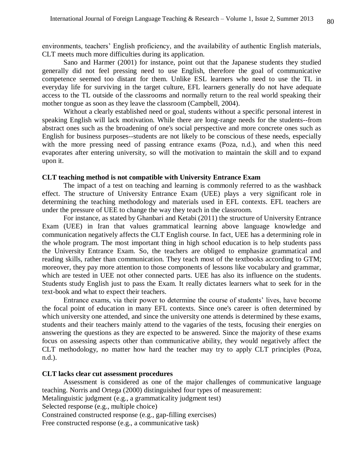environments, teachers' English proficiency, and the availability of authentic English materials, CLT meets much more difficulties during its application.

Sano and Harmer (2001) for instance, point out that the Japanese students they studied generally did not feel pressing need to use English, therefore the goal of communicative competence seemed too distant for them. Unlike ESL learners who need to use the TL in everyday life for surviving in the target culture, EFL learners generally do not have adequate access to the TL outside of the classrooms and normally return to the real world speaking their mother tongue as soon as they leave the classroom (Campbell, 2004).

Without a clearly established need or goal, students without a specific personal interest in speaking English will lack motivation. While there are long-range needs for the students--from abstract ones such as the broadening of one's social perspective and more concrete ones such as English for business purposes--students are not likely to be conscious of these needs, especially with the more pressing need of passing entrance exams (Poza, n.d.), and when this need evaporates after entering university, so will the motivation to maintain the skill and to expand upon it.

### **CLT teaching method is not compatible with University Entrance Exam**

The impact of a test on teaching and learning is commonly referred to as the washback effect. The structure of University Entrance Exam (UEE) plays a very significant role in determining the teaching methodology and materials used in EFL contexts. EFL teachers are under the pressure of UEE to change the way they teach in the classroom.

For instance, as stated by Ghanbari and Ketabi (2011) the structure of University Entrance Exam (UEE) in Iran that values grammatical learning above language knowledge and communication negatively affects the CLT English course. In fact, UEE has a determining role in the whole program. The most important thing in high school education is to help students pass the University Entrance Exam. So, the teachers are obliged to emphasize grammatical and reading skills, rather than communication. They teach most of the textbooks according to GTM; moreover, they pay more attention to those components of lessons like vocabulary and grammar, which are tested in UEE not other connected parts. UEE has also its influence on the students. Students study English just to pass the Exam. It really dictates learners what to seek for in the text-book and what to expect their teachers.

Entrance exams, via their power to determine the course of students' lives, have become the focal point of education in many EFL contexts. Since one's career is often determined by which university one attended, and since the university one attends is determined by these exams, students and their teachers mainly attend to the vagaries of the tests, focusing their energies on answering the questions as they are expected to be answered. Since the majority of these exams focus on assessing aspects other than communicative ability, they would negatively affect the CLT methodology, no matter how hard the teacher may try to apply CLT principles (Poza, n.d.).

### **CLT lacks clear cut assessment procedures**

Assessment is considered as one of the major challenges of communicative language teaching. Norris and Ortega (2000) distinguished four types of measurement:

Metalinguistic judgment (e.g., a grammaticality judgment test)

Selected response (e.g., multiple choice)

Constrained constructed response (e.g., gap-filling exercises)

Free constructed response (e.g., a communicative task)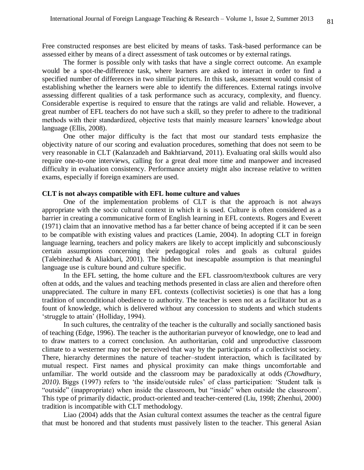Free constructed responses are best elicited by means of tasks. Task-based performance can be assessed either by means of a direct assessment of task outcomes or by external ratings.

The former is possible only with tasks that have a single correct outcome. An example would be a spot-the-difference task, where learners are asked to interact in order to find a specified number of differences in two similar pictures. In this task, assessment would consist of establishing whether the learners were able to identify the differences. External ratings involve assessing different qualities of a task performance such as accuracy, complexity, and fluency. Considerable expertise is required to ensure that the ratings are valid and reliable. However, a great number of EFL teachers do not have such a skill, so they prefer to adhere to the traditional methods with their standardized, objective tests that mainly measure learners' knowledge about language (Ellis, 2008).

One other major difficulty is the fact that most our standard tests emphasize the objectivity nature of our scoring and evaluation procedures, something that does not seem to be very reasonable in CLT (Kalanzadeh and Bakhtiarvand, 2011). Evaluating oral skills would also require one-to-one interviews, calling for a great deal more time and manpower and increased difficulty in evaluation consistency. Performance anxiety might also increase relative to written exams, especially if foreign examiners are used.

### **CLT is not always compatible with EFL home culture and values**

One of the implementation problems of CLT is that the approach is not always appropriate with the socio cultural context in which it is used. Culture is often considered as a barrier in creating a communicative form of English learning in EFL contexts. Rogers and Everett (1971) claim that an innovative method has a far better chance of being accepted if it can be seen to be compatible with existing values and practices (Lamie, 2004). In adopting CLT in foreign language learning, teachers and policy makers are likely to accept implicitly and subconsciously certain assumptions concerning their pedagogical roles and goals as cultural guides (Talebinezhad & Aliakbari, 2001). The hidden but inescapable assumption is that meaningful language use is culture bound and culture specific.

In the EFL setting, the home culture and the EFL classroom/textbook cultures are very often at odds, and the values and teaching methods presented in class are alien and therefore often unappreciated. The culture in many EFL contexts (collectivist societies) is one that has a long tradition of unconditional obedience to authority. The teacher is seen not as a facilitator but as a fount of knowledge, which is delivered without any concession to students and which students 'struggle to attain' (Holliday, 1994).

In such cultures, the centrality of the teacher is the culturally and socially sanctioned basis of teaching (Edge, 1996). The teacher is the authoritarian purveyor of knowledge, one to lead and to draw matters to a correct conclusion. An authoritarian, cold and unproductive classroom climate to a westerner may not be perceived that way by the participants of a collectivist society. There, hierarchy determines the nature of teacher–student interaction, which is facilitated by mutual respect. First names and physical proximity can make things uncomfortable and unfamiliar. The world outside and the classroom may be paradoxically at odds *(Chowdhury, 2010).* Biggs (1997) refers to 'the inside/outside rules' of class participation: 'Student talk is "outside" (inappropriate) when inside the classroom, but "inside" when outside the classroom'. This type of primarily didactic, product-oriented and teacher-centered (Liu, 1998; Zhenhui, 2000) tradition is incompatible with CLT methodology.

Liao (2004) adds that the Asian cultural context assumes the teacher as the central figure that must be honored and that students must passively listen to the teacher. This general Asian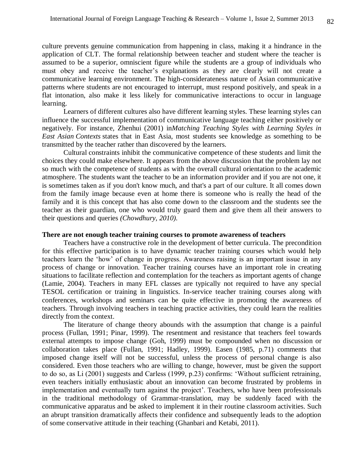culture prevents genuine communication from happening in class, making it a hindrance in the application of CLT. The formal relationship between teacher and student where the teacher is assumed to be a superior, omniscient figure while the students are a group of individuals who must obey and receive the teacher's explanations as they are clearly will not create a communicative learning environment. The high-considerateness nature of Asian communicative patterns where students are not encouraged to interrupt, must respond positively, and speak in a flat intonation, also make it less likely for communicative interactions to occur in language learning.

Learners of different cultures also have different learning styles. These learning styles can influence the successful implementation of communicative language teaching either positively or negatively. For instance, Zhenhui (2001) in*Matching Teaching Styles with Learning Styles in East Asian Contexts* states that in East Asia, most students see knowledge as something to be transmitted by the teacher rather than discovered by the learners.

Cultural constraints inhibit the communicative competence of these students and limit the choices they could make elsewhere. It appears from the above discussion that the problem lay not so much with the competence of students as with the overall cultural orientation to the academic atmosphere. The students want the teacher to be an information provider and if you are not one, it is sometimes taken as if you don't know much, and that's a part of our culture. It all comes down from the family image because even at home there is someone who is really the head of the family and it is this concept that has also come down to the classroom and the students see the teacher as their guardian, one who would truly guard them and give them all their answers to their questions and queries *(Chowdhury, 2010).*

### **There are not enough teacher training courses to promote awareness of teachers**

Teachers have a constructive role in the development of better curricula. The precondition for this effective participation is to have dynamic teacher training courses which would help teachers learn the 'how' of change in progress. Awareness raising is an important issue in any process of change or innovation. Teacher training courses have an important role in creating situations to facilitate reflection and contemplation for the teachers as important agents of change (Lamie, 2004). Teachers in many EFL classes are typically not required to have any special TESOL certification or training in linguistics. In-service teacher training courses along with conferences, workshops and seminars can be quite effective in promoting the awareness of teachers. Through involving teachers in teaching practice activities, they could learn the realities directly from the context.

The literature of change theory abounds with the assumption that change is a painful process (Fullan, 1991; Pinar, 1999). The resentment and resistance that teachers feel towards external attempts to impose change (Goh, 1999) must be compounded when no discussion or collaboration takes place (Fullan, 1991; Hadley, 1999). Easen (1985, p.71) comments that imposed change itself will not be successful, unless the process of personal change is also considered. Even those teachers who are willing to change, however, must be given the support to do so, as Li (2001) suggests and Carless (1999, p.23) confirms: 'Without sufficient retraining, even teachers initially enthusiastic about an innovation can become frustrated by problems in implementation and eventually turn against the project'. Teachers, who have been professionals in the traditional methodology of Grammar-translation, may be suddenly faced with the communicative apparatus and be asked to implement it in their routine classroom activities. Such an abrupt transition dramatically affects their confidence and subsequently leads to the adoption of some conservative attitude in their teaching (Ghanbari and Ketabi, 2011).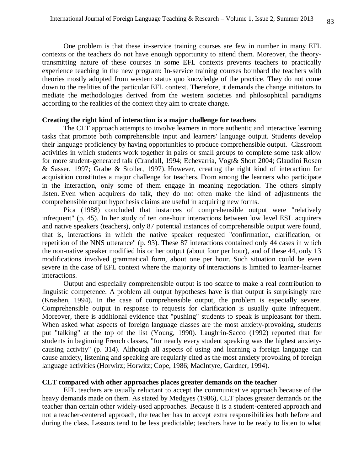One problem is that these in-service training courses are few in number in many EFL contexts or the teachers do not have enough opportunity to attend them. Moreover, the theorytransmitting nature of these courses in some EFL contexts prevents teachers to practically experience teaching in the new program: In-service training courses bombard the teachers with theories mostly adopted from western status quo knowledge of the practice. They do not come down to the realities of the particular EFL context. Therefore, it demands the change initiators to mediate the methodologies derived from the western societies and philosophical paradigms according to the realities of the context they aim to create change.

### **Creating the right kind of interaction is a major challenge for teachers**

The CLT approach attempts to involve learners in more authentic and interactive learning tasks that promote both comprehensible input and learners' language output. Students develop their language proficiency by having opportunities to produce comprehensible output. Classroom activities in which students work together in pairs or small groups to complete some task allow for more student-generated talk (Crandall, 1994; Echevarria, Vogt& Short 2004; Glaudini Rosen & Sasser, 1997; Grabe & Stoller, 1997). However, creating the right kind of interaction for acquisition constitutes a major challenge for teachers. From among the learners who participate in the interaction, only some of them engage in meaning negotiation. The others simply listen. Even when acquirers do talk, they do not often make the kind of adjustments the comprehensible output hypothesis claims are useful in acquiring new forms.

Pica (1988) concluded that instances of comprehensible output were "relatively infrequent" (p. 45). In her study of ten one-hour interactions between low level ESL acquirers and native speakers (teachers), only 87 potential instances of comprehensible output were found, that is, interactions in which the native speaker requested "confirmation, clarification, or repetition of the NNS utterance" (p. 93). These 87 interactions contained only 44 cases in which the non-native speaker modified his or her output (about four per hour), and of these 44, only 13 modifications involved grammatical form, about one per hour. Such situation could be even severe in the case of EFL context where the majority of interactions is limited to learner-learner interactions.

Output and especially comprehensible output is too scarce to make a real contribution to linguistic competence. A problem all output hypotheses have is that output is surprisingly rare (Krashen, 1994). In the case of comprehensible output, the problem is especially severe. Comprehensible output in response to requests for clarification is usually quite infrequent. Moreover, there is additional evidence that "pushing" students to speak is unpleasant for them. When asked what aspects of foreign language classes are the most anxiety-provoking, students put "talking" at the top of the list (Young, 1990). Laughrin-Sacco (1992) reported that for students in beginning French classes, "for nearly every student speaking was the highest anxietycausing activity" (p. 314). Although all aspects of using and learning a foreign language can cause anxiety, listening and speaking are regularly cited as the most anxiety provoking of foreign language activities (Horwirz; Horwitz; Cope, 1986; MacIntyre, Gardner, 1994).

## **CLT compared with other approaches places greater demands on the teacher**

EFL teachers are usually reluctant to accept the communicative approach because of the heavy demands made on them. As stated by Medgyes (1986), CLT places greater demands on the teacher than certain other widely-used approaches. Because it is a student-centered approach and not a teacher-centered approach, the teacher has to accept extra responsibilities both before and during the class. Lessons tend to be less predictable; teachers have to be ready to listen to what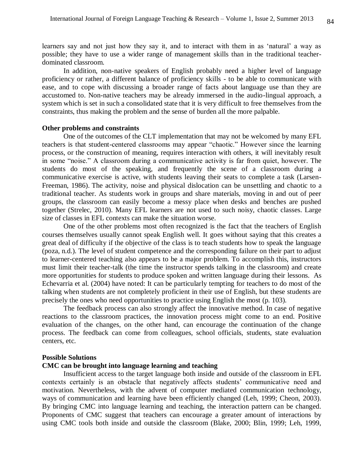learners say and not just how they say it, and to interact with them in as 'natural' a way as possible; they have to use a wider range of management skills than in the traditional teacherdominated classroom.

In addition, non-native speakers of English probably need a higher level of language proficiency or rather, a different balance of proficiency skills - to be able to communicate with ease, and to cope with discussing a broader range of facts about language use than they are accustomed to. Non-native teachers may be already immersed in the audio-lingual approach, a system which is set in such a consolidated state that it is very difficult to free themselves from the constraints, thus making the problem and the sense of burden all the more palpable.

#### **Other problems and constraints**

One of the outcomes of the CLT implementation that may not be welcomed by many EFL teachers is that student-centered classrooms may appear "chaotic." However since the learning process, or the construction of meaning, requires interaction with others, it will inevitably result in some "noise." A classroom during a communicative activity is far from quiet, however. The students do most of the speaking, and frequently the scene of a classroom during a communicative exercise is active, with students leaving their seats to complete a task (Larsen-Freeman, 1986). The activity, noise and physical dislocation can be unsettling and chaotic to a traditional teacher. As students work in groups and share materials, moving in and out of peer groups, the classroom can easily become a messy place when desks and benches are pushed together (Strelec, 2010). Many EFL learners are not used to such noisy, chaotic classes. Large size of classes in EFL contexts can make the situation worse.

One of the other problems most often recognized is the fact that the teachers of English courses themselves usually cannot speak English well. It goes without saying that this creates a great deal of difficulty if the objective of the class is to teach students how to speak the language (poza, n.d.). The level of student competence and the corresponding failure on their part to adjust to learner-centered teaching also appears to be a major problem. To accomplish this, instructors must limit their teacher-talk (the time the instructor spends talking in the classroom) and create more opportunities for students to produce spoken and written language during their lessons. As Echevarria et al. (2004) have noted: It can be particularly tempting for teachers to do most of the talking when students are not completely proficient in their use of English, but these students are precisely the ones who need opportunities to practice using English the most (p. 103).

The feedback process can also strongly affect the innovative method. In case of negative reactions to the classroom practices, the innovation process might come to an end. Positive evaluation of the changes, on the other hand, can encourage the continuation of the change process. The feedback can come from colleagues, school officials, students, state evaluation centers, etc.

### **Possible Solutions**

## **CMC can be brought into language learning and teaching**

Insufficient access to the target language both inside and outside of the classroom in EFL contexts certainly is an obstacle that negatively affects students' communicative need and motivation. Nevertheless, with the advent of computer mediated communication technology, ways of communication and learning have been efficiently changed (Leh, 1999; Cheon, 2003). By bringing CMC into language learning and teaching, the interaction pattern can be changed. Proponents of CMC suggest that teachers can encourage a greater amount of interactions by using CMC tools both inside and outside the classroom (Blake, 2000; Blin, 1999; Leh, 1999,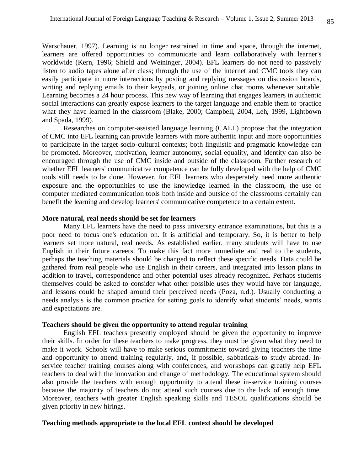Warschauer, 1997). Learning is no longer restrained in time and space, through the internet, learners are offered opportunities to communicate and learn collaboratively with learner's worldwide (Kern, 1996; Shield and Weininger, 2004). EFL learners do not need to passively listen to audio tapes alone after class; through the use of the internet and CMC tools they can easily participate in more interactions by posting and replying messages on discussion boards, writing and replying emails to their keypads, or joining online chat rooms whenever suitable. Learning becomes a 24 hour process. This new way of learning that engages learners in authentic social interactions can greatly expose learners to the target language and enable them to practice what they have learned in the classroom (Blake, 2000; Campbell, 2004, Leh, 1999, Lightbown and Spada, 1999).

Researches on computer-assisted language learning (CALL) propose that the integration of CMC into EFL learning can provide learners with more authentic input and more opportunities to participate in the target socio-cultural contexts; both linguistic and pragmatic knowledge can be promoted. Moreover, motivation, learner autonomy, social equality, and identity can also be encouraged through the use of CMC inside and outside of the classroom. Further research of whether EFL learners' communicative competence can be fully developed with the help of CMC tools still needs to be done. However, for EFL learners who desperately need more authentic exposure and the opportunities to use the knowledge learned in the classroom, the use of computer mediated communication tools both inside and outside of the classrooms certainly can benefit the learning and develop learners' communicative competence to a certain extent.

## **More natural, real needs should be set for learners**

Many EFL learners have the need to pass university entrance examinations, but this is a poor need to focus one's education on. It is artificial and temporary. So, it is better to help learners set more natural, real needs. As established earlier, many students will have to use English in their future careers. To make this fact more immediate and real to the students, perhaps the teaching materials should be changed to reflect these specific needs. Data could be gathered from real people who use English in their careers, and integrated into lesson plans in addition to travel, correspondence and other potential uses already recognized. Perhaps students themselves could be asked to consider what other possible uses they would have for language, and lessons could be shaped around their perceived needs (Poza, n.d.). Usually conducting a needs analysis is the common practice for setting goals to identify what students' needs, wants and expectations are.

### **Teachers should be given the opportunity to attend regular training**

English EFL teachers presently employed should be given the opportunity to improve their skills. In order for these teachers to make progress, they must be given what they need to make it work. Schools will have to make serious commitments toward giving teachers the time and opportunity to attend training regularly, and, if possible, sabbaticals to study abroad. Inservice teacher training courses along with conferences, and workshops can greatly help EFL teachers to deal with the innovation and change of methodology. The educational system should also provide the teachers with enough opportunity to attend these in-service training courses because the majority of teachers do not attend such courses due to the lack of enough time. Moreover, teachers with greater English speaking skills and TESOL qualifications should be given priority in new hirings.

### **Teaching methods appropriate to the local EFL context should be developed**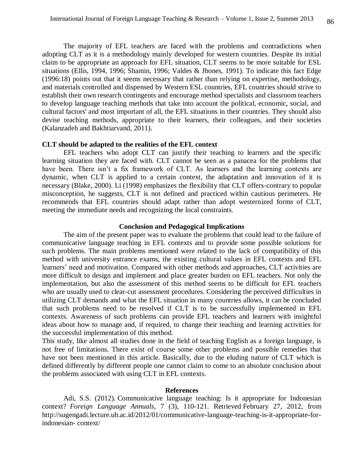The majority of EFL teachers are faced with the problems and contradictions when adopting CLT as it is a methodology mainly developed for western countries. Despite its initial claim to be appropriate an approach for EFL situation, CLT seems to be more suitable for ESL situations (Ellis, 1994, 1996; Shamin, 1996; Valdes & Jhones, 1991). To indicate this fact Edge (1996:18) points out that it seems necessary that rather than relying on expertise, methodology, and materials controlled and dispensed by Western ESL countries, EFL countries should strive to establish their own research contingents and encourage method specialists and classroom teachers to develop language teaching methods that take into account the political, economic, social, and cultural factors' and most important of all, the EFL situations in their countries. They should also devise teaching methods, appropriate to their learners, their colleagues, and their societies (Kalanzadeh and Bakhtiarvand, 2011).

### **CLT should be adapted to the realities of the EFL context**

EFL teachers who adopt CLT can justify their teaching to learners and the specific learning situation they are faced with. CLT cannot be seen as a panacea for the problems that have been. There isn't a fix framework of CLT. As learners and the learning contexts are dynamic, when CLT is applied to a certain context, the adaptation and innovation of it is necessary (Blake, 2000). Li (1998) emphasizes the flexibility that CLT offers-contrary to popular misconception, he suggests, CLT is not defined and practiced within cautious perimeters. He recommends that EFL countries should adapt rather than adopt westernized forms of CLT, meeting the immediate needs and recognizing the local constraints.

### **Conclusion and Pedagogical Implications**

The aim of the present paper was to evaluate the problems that could lead to the failure of communicative language teaching in EFL contexts and to provide some possible solutions for such problems. The main problems mentioned were related to the lack of compatibility of this method with university entrance exams, the existing cultural values in EFL contexts and EFL learners' need and motivation. Compared with other methods and approaches, CLT activities are more difficult to design and implement and place greater burden on EFL teachers. Not only the implementation, but also the assessment of this method seems to be difficult for EFL teachers who are usually used to clear-cut assessment procedures. Considering the perceived difficulties in utilizing CLT demands and what the EFL situation in many countries allows, it can be concluded that such problems need to be resolved if CLT is to be successfully implemented in EFL contexts. Awareness of such problems can provide EFL teachers and learners with insightful ideas about how to manage and, if required, to change their teaching and learning activities for the successful implementation of this method.

This study, like almost all studies done in the field of teaching English as a foreign language, is not free of limitations. There exist of course some other problems and possible remedies that have not been mentioned in this article. Basically, due to the eluding nature of CLT which is defined differently by different people one cannot claim to come to an absolute conclusion about the problems associated with using CLT in EFL contexts.

#### **References**

Adi, S.S. (2012). [Communicative language teaching: Is it appropriate for Indonesian](http://sugengadi.lecture.ub.ac.id/2012/01/communicative-language-teaching-is-it-appropriate-for-indonesian-context/)  [context?](http://sugengadi.lecture.ub.ac.id/2012/01/communicative-language-teaching-is-it-appropriate-for-indonesian-context/) *Foreign Language Annuals*, 7 (3), 110-121. Retrieved February 27, 2012, from http://sugengadi.lecture.ub.ac.id/2012/01/communicative-language-teaching-is-it-appropriate-forindonesian- context/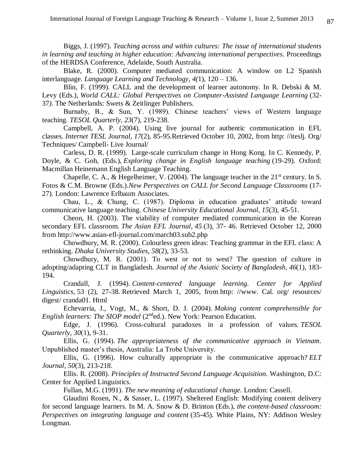Biggs, J. (1997). *Teaching across and within cultures: The issue of international students in learning and teaching in higher education: Advancing international perspectives*. Proceedings of the HERDSA Conference, Adelaide, South Australia.

Blake, R. (2000). Computer mediated communication: A window on L2 Spanish interlanguage. *Language Learning and Technology*, *4(*1), 120 – 136.

Blin, F. (1999). CALL and the development of learner autonomy. In R. Debski & M. Levy (Eds.), *World CALL: Global Perspectives on Computer-Assisted Language Learning* (32- 37*)*. The Netherlands: Swets & Zeitlinger Publishers.

Burnaby, B., & Sun, Y. (1989). Chinese teachers' views of Western language teaching. *TESOL Quarterly, 23*(7), 219-238.

Campbell, A. P. (2004). Using live journal for authentic communication in EFL classes. *Internet TESL Journal, 17*(2), 85-95*.*Retrieved October 10, 2002, from [http: //iteslj. Org/](http://iteslj.org/Techniques/%20Campbell-LiveJournal/)  [Techniques/ Campbell-](http://iteslj.org/Techniques/%20Campbell-LiveJournal/) Live Journal/

Carless, D. R. (1999). Large-scale curriculum change in Hong Kong. In C. Kennedy, P. Doyle, & C. Goh, (Eds.), *Exploring change in English language teaching* (19-29). Oxford: Macmillan Heinemann English Language Teaching.

Chapelle, C. A., & Hegelheimer, V. (2004). The language teacher in the  $21<sup>st</sup>$  century. In S. Fotos & C.M. Browne (Eds.).*New Perspectives on CALL for Second Language Classrooms* (17- 27)*.* London: Lawrence Erlbaum Associates.

Chau, L., & Chung, C. (1987). Diploma in education graduates' attitude toward communicative language teaching. *Chinese University Educational Journal*, *15*(3), 45-51.

Cheon, H. (2003). The viability of computer mediated communication in the Korean secondary EFL classroom. *The Asian EFL Journal, 45* (3), 37- 46. Retrieved October 12, 2000 from http://www.asian-efl-journal.com/march03.sub2.php

Chowdhury, M. R. (2000). Colourless green ideas: Teaching grammar in the EFL class: A rethinking. *Dhaka University Studies, 58*(2), 33-53.

Chowdhury, M. R. (2001). To west or not to west? The question of culture in adopting/adapting CLT in Bangladesh. *Journal of the Asiatic Society of Bangladesh, 46*(1), 183- 194.

Crandall, J. (1994). *Content-centered language learning. Center for Applied Linguistics,* 53 (2), 27-38*.* Retrieved March 1, 2005, from [http: //www. Cal. org/ resources/](http://www.cal.org/resources/digest/cranda01.html)  [digest/ cranda01. Html](http://www.cal.org/resources/digest/cranda01.html)

Echevarria, J., Vogt, M., & Short, D. J. (2004). *Making content comprehensible for English learners: The SIOP model* (2<sup>nd</sup>ed.). New York: Pearson Education.

Edge, J. (1996). Cross-cultural paradoxes in a profession of values. *TESOL Quarterly, 30*(1), 9-31.

Ellis, G. (1994). *The appropriateness of the communicative approach in Vietnam*. Unpublished master's thesis, Australia: La Trobe University.

Ellis, G. (1996). How culturally appropriate is the communicative approach? *ELT Journal, 50*(3), 213-218.

Ellis. R. (2008). *Principles of Instructed Second Language Acquisition.* Washington, D.C: Center for Applied Linguistics.

Fullan, M.G. (1991). *The new meaning of educational change*. London: Cassell.

Glaudini Rosen, N., & Sasser, L. (1997). Sheltered English: Modifying content delivery for second language learners. In M. A. Snow & D. Brinton (Eds.), *the content-based classroom: Perspectives on integrating language and content* (35-45). White Plains, NY: Addison Wesley Longman.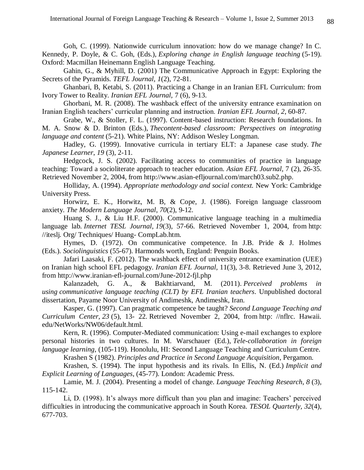Goh, C. (1999). Nationwide curriculum innovation: how do we manage change? In C. Kennedy, P. Doyle, & C. Goh, (Eds.), *Exploring change in English language teaching* (5-19). Oxford: Macmillan Heinemann English Language Teaching.

Gahin, G., & Myhill, D. (2001) The Communicative Approach in Egypt: Exploring the Secrets of the Pyramids. *TEFL Journal, 1*(2), 72-81.

Ghanbari, B, Ketabi, S. (2011). Practicing a Change in an Iranian EFL Curriculum: from Ivory Tower to Reality. *Iranian EFL Journal,* 7 (6), 9-13.

Ghorbani, M. R. (2008). The washback effect of the university entrance examination on Iranian English teachers' curricular planning and instruction. *Iranian EFL Journal, 2*, 60-87.

Grabe, W., & Stoller, F. L. (1997). Content-based instruction: Research foundations. In M. A. Snow & D. Brinton (Eds.), *Thecontent-based classroom: Perspectives on integrating language and content* (5-21). White Plains, NY: Addison Wesley Longman.

Hadley, G. (1999). Innovative curricula in tertiary ELT: a Japanese case study. *The Japanese Learner*, *19* (3)*,* 2-11.

Hedgcock, J. S. (2002). Facilitating access to communities of practice in language teaching: Toward a socioliterate approach to teacher education. *Asian EFL Journal,* 7 (2), 26-35. Retrieved November 2, 2004, from http://www.asian-efljournal.com/march03.sub2.php.

Holliday, A. (1994). *Appropriate methodology and social context.* New York: Cambridge University Press.

Horwirz, E. K., Horwitz, M. B, & Cope, J. (1986). Foreign language classroom anxiety. *The Modern Language Journal*, *70*(2), 9-12.

Huang S. J., & Liu H.F. (2000). Communicative language teaching in a multimedia language lab. *Internet TESL Journal, 19*(3), 57-66. Retrieved November 1, 2004, from [http:](http://iteslj.org/Techniques/Huang-CompLab.htm)  [//iteslj. Org/ Techniques/ Huang-](http://iteslj.org/Techniques/Huang-CompLab.htm) CompLab.htm.

Hymes, D. (1972). On communicative competence. In J.B. Pride & J. Holmes (Eds.). *Sociolinguistics* (55-67). Harmonds worth, England: Penguin Books.

Jafari Laasaki, F. (2012). The washback effect of university entrance examination (UEE) on Iranian high school EFL pedagogy. *Iranian EFL Journal,* 11(3), 3-8. Retrieved June 3, 2012, from <http://www.iranian-efl-journal.com/June-2012-fjl.php>

Kalanzadeh, G. A., & Bakhtiarvand, M. (2011). *Perceived problems in using communicative language teaching (CLT) by EFL Iranian teachers*. Unpublished doctoral dissertation, Payame Noor University of Andimeshk, Andimeshk, Iran.

Kasper, G. (1997). Can pragmatic competence be taught? *Second Language Teaching and Curriculum Center, 23* (5), 13- 22. Retrieved November 2, 2004, from [http: //nflrc. Hawaii.](http://nflrc.hawaii.edu/NetWorks/NW06/default.html)  [edu/NetWorks/NW06/default.html.](http://nflrc.hawaii.edu/NetWorks/NW06/default.html)

Kern, R. (1996). Computer-Mediated communication: Using e-mail exchanges to explore personal histories in two cultures. In M. Warschauer (Ed.), *Tele-collaboration in foreign language learning,* (105-119). Honolulu, HI: Second Language Teaching and Curriculum Centre.

Krashen S (1982). *Principles and Practice in Second Language Acquisition*, Pergamon.

Krashen, S. (1994). The input hypothesis and its rivals. In Ellis, N. (Ed.) *Implicit and Explicit Learning of Languages*, (45-77). London: Academic Press.

Lamie, M. J. (2004). Presenting a model of change. *Language Teaching Research*, *8* (3), 115-142.

Li, D. (1998). It's always more difficult than you plan and imagine: Teachers' perceived difficulties in introducing the communicative approach in South Korea. *TESOL Quarterly, 32*(4), 677-703.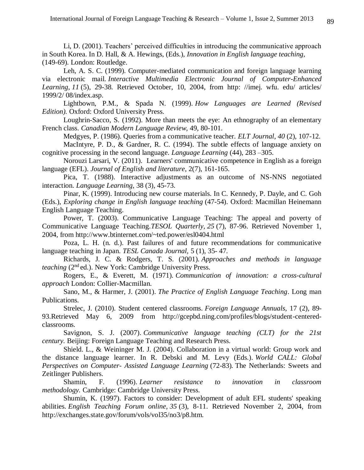Li, D. (2001). Teachers' perceived difficulties in introducing the communicative approach in South Korea. In D. Hall, & A. Hewings, (Eds.), *Innovation in English language teaching,* (149-69). London: Routledge.

Leh, A. S. C. (1999). Computer-mediated communication and foreign language learning via electronic mail. *Interactive Multimedia Electronic Journal of Computer-Enhanced Learning, 11* (5), 29-38. Retrieved October, 10, 2004, from [http: //imej. wfu. edu/ articles/](http://imej.wfu.edu/articles/1999/2/08/index.asp)  [1999/2/ 08/index.asp.](http://imej.wfu.edu/articles/1999/2/08/index.asp)

Lightbown, P.M., & Spada N. (1999). *How Languages are Learned (Revised Edition).* Oxford: Oxford University Press.

Loughrin-Sacco, S. (1992). More than meets the eye: An ethnography of an elementary French class. *Canadian Modern Language Review,* 49, 80-101.

Medgyes, P. (1986). Queries from a communicative teacher. *ELT Journal, 40* (2), 107-12. MacIntyre, P. D., & Gardner, R. C. (1994). The subtle effects of language anxiety on cognitive processing in the second language. *Language Learning* (44), 283 –305.

Norouzi Larsari, V. (2011). Learners' communicative competence in English as a foreign language (EFL). *Journal of English and literature*, 2(7), 161-165.

Pica, T. (1988). Interactive adjustments as an outcome of NS-NNS negotiated interaction. *Language Learning,* 38 (3)*,* 45-73.

Pinar, K. (1999). Introducing new course materials. In C. Kennedy, P. Dayle, and C. Goh (Eds.), *Exploring change in English language teaching* (47-54). Oxford: Macmillan Heinemann English Language Teaching.

Power, T. (2003). Communicative Language Teaching: The appeal and poverty of Communicative Language Teaching.*TESOL Quarterly, 25* (7), 87-96. Retrieved November 1, 2004, from http://www.btinternet.com/~ted.power/esl0404.html

Poza, L. H. (n. d.). Past failures of and future recommendations for communicative language teaching in Japan. *TESL Canada Journal,* 5 (1), 35- 47.

Richards, J. C. & Rodgers, T. S. (2001). *Approaches and methods in language teaching* (2<sup>nd</sup> ed.). New York: Cambridge University Press.

Rogers, E., & Everett, M. (1971). *Communication of innovation: a cross-cultural approach* London: Collier-Macmillan.

Sano, M., & Harmer, J. (2001). *The Practice of English Language Teaching*. Long man Publications.

Strelec, J. (2010). Student centered classrooms. *Foreign Language Annuals*, 17 (2), 89- 93.Retrieved May 6, 2009 from http://gcepbd.ning.com/profiles/blogs/student-centeredclassrooms.

Savignon, S. J. (2007). *Communicative language teaching (CLT) for the 21st century.* Beijing: Foreign Language Teaching and Research Press.

Shield. L., & Weininger M. J. (2004). Collaboration in a virtual world: Group work and the distance language learner. In R. Debski and M. Levy (Eds.). *World CALL: Global Perspectives on Computer- Assisted Language Learning* (72-83)*.* The Netherlands: Sweets and Zeitlinger Publishers.

Shamin, F. (1996). *Learner resistance to innovation in classroom methodology.* Cambridge: Cambridge University Press.

Shumin, K. (1997). Factors to consider: Development of adult EFL students' speaking abilities. *English Teaching Forum online, 35* (3), 8-11. Retrieved November 2, 2004, from http://exchanges.state.gov/forum/vols/vol35/no3/p8.htm.